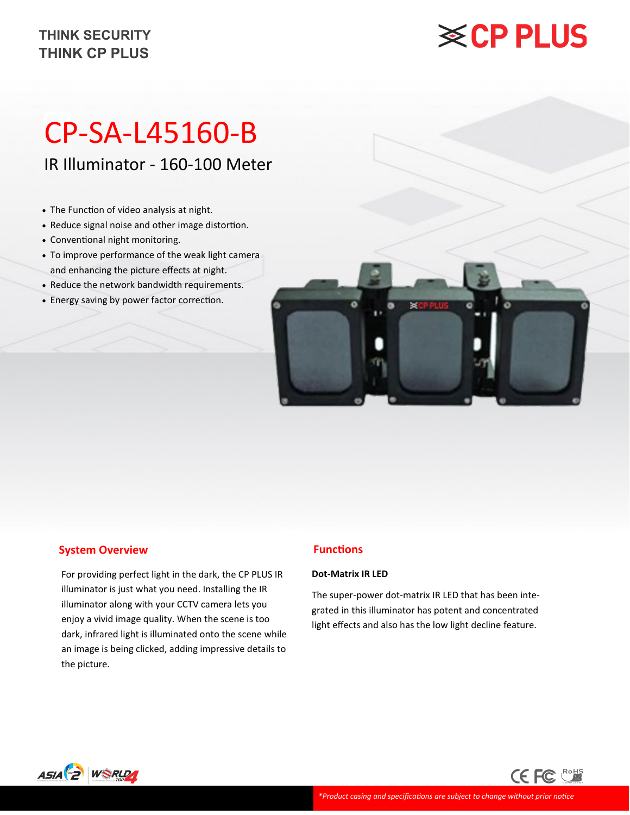### **THINK CP PLUS THINK SECURITY**

# **※CP PLUS**

## **CP-** CP-SA-L45160-B

IR Illuminator - 160-100 Meter

- The Function of video analysis at night.
- Reduce signal noise and other image distortion.
- Conventional night monitoring.
- To improve performance of the weak light camera and enhancing the picture effects at night.
- Reduce the network bandwidth requirements.
- Energy saving by power factor correction.



### **System Overview**

For providing perfect light in the dark, the CP PLUS IR illuminator is just what you need. Installing the IR illuminator along with your CCTV camera lets you enjoy a vivid image quality. When the scene is too dark, infrared light is illuminated onto the scene while an image is being clicked, adding impressive details to the picture.

### **Functions**

#### **Dot-Matrix IR LED**

The super-power dot-matrix IR LED that has been integrated in this illuminator has potent and concentrated light effects and also has the low light decline feature.

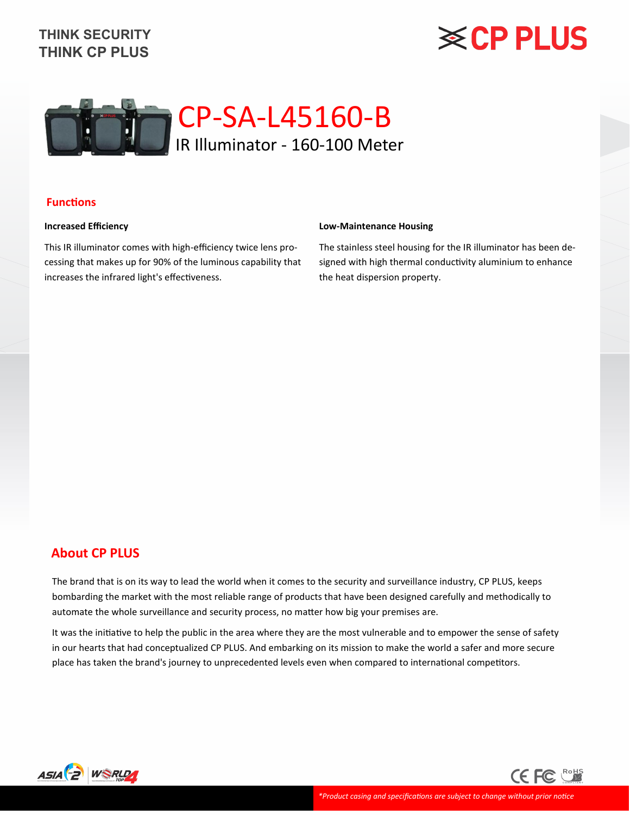### **THINK CP PLUS THINK SECURITY**

## **※CP PLUS**



### **Functions**

#### **Increased Efficiency**

This IR illuminator comes with high-efficiency twice lens processing that makes up for 90% of the luminous capability that increases the infrared light's effectiveness.

#### **Low-Maintenance Housing**

The stainless steel housing for the IR illuminator has been designed with high thermal conductivity aluminium to enhance the heat dispersion property.

### **About CP PLUS**

The brand that is on its way to lead the world when it comes to the security and surveillance industry, CP PLUS, keeps bombarding the market with the most reliable range of products that have been designed carefully and methodically to automate the whole surveillance and security process, no matter how big your premises are.

It was the initiative to help the public in the area where they are the most vulnerable and to empower the sense of safety in our hearts that had conceptualized CP PLUS. And embarking on its mission to make the world a safer and more secure place has taken the brand's journey to unprecedented levels even when compared to international competitors.